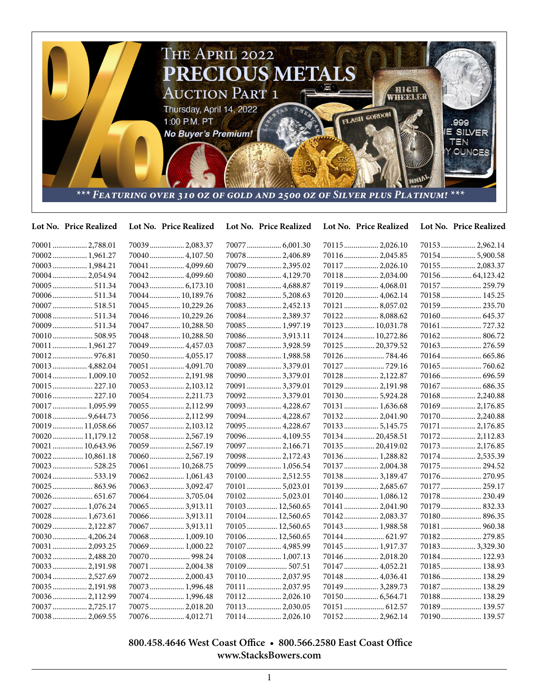

| Lot No. Price Realized | Lot No. Price Realized | Lot No. Price Realized | Lot No. Price Realized | Lot No. Price Realized |
|------------------------|------------------------|------------------------|------------------------|------------------------|
| 70001  2,788.01        | 70039  2,083.37        |                        | 70115 2,026.10         | 70153 2,962.14         |
| 70002 1,961.27         | 70040 4,107.50         | 70078  2,406.89        | 70116  2,045.85        | 70154 5,900.58         |
| 70003  1,984.21        | 70041  4,099.60        | 70079  2,395.02        | 70117  2,026.10        | 70155  2,083.37        |
| 70004 2,054.94         | 70042 4,099.60         | 70080 4,129.70         | 70118 2,034.00         | 70156  64,123.42       |
|                        | 70043 6,173.10         | 70081  4,688.87        | 70119  4,068.01        | 70157  259.79          |
| 70006 511.34           | 70044 10,189.76        | 70082 5,208.63         | 70120 4,062.14         | 70158 145.25           |
| 70007 518.51           | 70045  10,229.26       | 70083 2,452.13         | 70121  8,057.02        | 70159 235.70           |
| 70008 511.34           | 70046 10,229.26        | 70084 2,389.37         | 701228,088.62          |                        |
| 70009  511.34          | 70047  10,288.50       | 70085  1,997.19        | 70123 10,031.78        | 70161  727.32          |
| 70010 508.95           | 70048 10,288.50        | 700863,913.11          | 70124 10,272.86        | 70162 806.72           |
| 70011  1,961.27        | 70049  4,457.03        | 70087  3,928.59        | 70125  20,379.52       | 70163  276.59          |
|                        | 70050 4,055.17         | 70088 1,988.58         | 70126784.46            |                        |
| 70013  4,882.04        | 70051  4,091.70        | 70089  3,379.01        | 70127  729.16          |                        |
| 70014 1,009.10         | 70052 2,191.98         | 70090 3,379.01         | 70128 2,122.87         | 70166  696.59          |
| 70015  227.10          | 70053 2,103.12         | 70091  3,379.01        | 70129  2,191.98        | 70167  686.35          |
| 70016 227.10           | 70054 2,211.73         | 700923,379.01          | 701305,924.28          | 70168 2,240.88         |
| 70017  1,095.99        | 70055 2,112.99         | 70093  4,228.67        | 70131  1,636.68        | 70169 2,176.85         |
| 70018 9,644.73         | 70056 2,112.99         | 70094 4,228.67         | 70132 2,041.90         | 70170 2,240.88         |
| 70019  11,058.66       | 70057  2,103.12        | 70095  4,228.67        | 70133 5,145.75         | 70171  2,176.85        |
| 70020 11,179.12        | 70058 2,567.19         | 70096  4,109.55        | 70134  20,458.51       | 70172 2,112.83         |
| 70021  10,643.96       | 70059 2,567.19         | 70097  2,166.71        | 70135  20,419.02       | 70173 2,176.85         |
| 70022 10,861.18        | 70060 2,567.19         | 70098 2,172.43         | 70136 1,288.82         | 70174 2,535.39         |
| 70023 528.25           | 70061  10,268.75       | 70099  1,056.54        | 70137  2,004.38        | 70175  294.52          |
| 70024  533.19          | 70062 1,061.43         | 70100 2,512.55         | 70138 3,189.47         | 70176 270.95           |
| 70025  863.96          | 700633,092.47          | 701015,023.01          | 70139  2,685.67        | 70177  259.17          |
| 70026  651.67          | 70064 3,705.04         | 701025,023.01          | 70140 1,086.12         | 70178  230.49          |
| 70027  1,076.24        | 700653,913.11          | 70103 12,560.65        | 70141  2,041.90        | 70179  832.33          |
| 70028  1,673.61        | 70066 3,913.11         | 70104 12,560.65        | 70142 2,083.37         | 70180 896.35           |
| 70029  2,122.87        | 70067 3,913.11         | 70105  12,560.65       | 70143  1,988.58        |                        |
| 70030 4,206.24         | 70068 1,009.10         | 70106 12,560.65        |                        | 70182 279.85           |
| 70031  2,093.25        | 70069 1,000.22         | 70107  4,985.99        | 70145  1,917.37        | 70183 3,329.30         |
| 70032 2,488.20         | 70070  998.24          | 70108 1,007.13         | 70146  2,018.20        | 70184 122.93           |
| 70033  2,191.98        | 70071  2,004.38        | 70109  507.51          | 70147  4,052.21        | 70185 138.93           |
| 70034 2,527.69         | 70072 2,000.43         | 70110 2,037.95         | 70148  4,036.41        | 70186 138.29           |
| 70035  2,191.98        | 70073 1,996.48         | 70111  2,037.95        | 70149  3,289.73        | 70187  138.29          |
| 700362,112.99          | 70074 1,996.48         | 70112 2,026.10         | 70150 6,564.71         | 70188 138.29           |
| 70037  2,725.17        | 70075 2,018.20         | 70113 2,030.05         | 70151  612.57          | 70189 139.57           |
| 70038 2,069.55         |                        | 70114 2.026.10         |                        | 70190 139.57           |

 **800.458.4646 West Coast Office • 800.566.2580 East Coast Office www.StacksBowers.com**